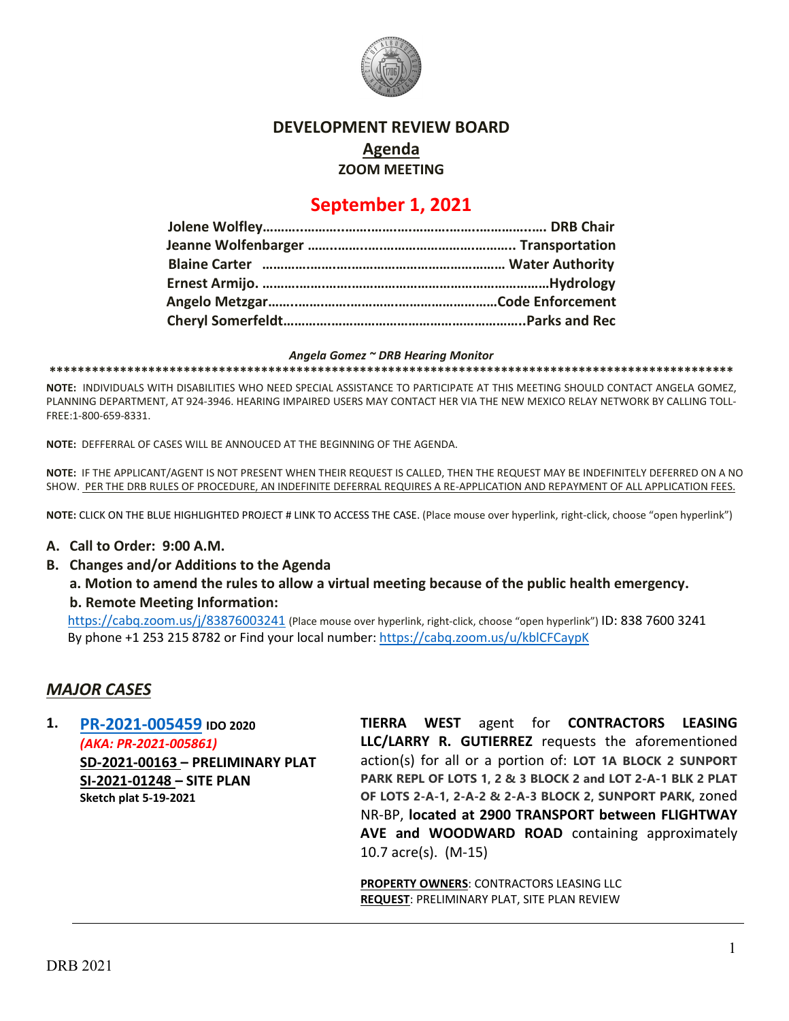

## **DEVELOPMENT REVIEW BOARD Agenda ZOOM MEETING**

# **September 1, 2021**

#### *Angela Gomez ~ DRB Hearing Monitor*

**\*\*\*\*\*\*\*\*\*\*\*\*\*\*\*\*\*\*\*\*\*\*\*\*\*\*\*\*\*\*\*\*\*\*\*\*\*\*\*\*\*\*\*\*\*\*\*\*\*\*\*\*\*\*\*\*\*\*\*\*\*\*\*\*\*\*\*\*\*\*\*\*\*\*\*\*\*\*\*\*\*\*\*\*\*\*\*\*\*\*\*\*\*\*\*\*\***

**NOTE:** INDIVIDUALS WITH DISABILITIES WHO NEED SPECIAL ASSISTANCE TO PARTICIPATE AT THIS MEETING SHOULD CONTACT ANGELA GOMEZ, PLANNING DEPARTMENT, AT 924-3946. HEARING IMPAIRED USERS MAY CONTACT HER VIA THE NEW MEXICO RELAY NETWORK BY CALLING TOLL-FREE:1-800-659-8331.

**NOTE:** DEFFERRAL OF CASES WILL BE ANNOUCED AT THE BEGINNING OF THE AGENDA.

**NOTE:** IF THE APPLICANT/AGENT IS NOT PRESENT WHEN THEIR REQUEST IS CALLED, THEN THE REQUEST MAY BE INDEFINITELY DEFERRED ON A NO SHOW. PER THE DRB RULES OF PROCEDURE, AN INDEFINITE DEFERRAL REQUIRES A RE-APPLICATION AND REPAYMENT OF ALL APPLICATION FEES.

**NOTE:** CLICK ON THE BLUE HIGHLIGHTED PROJECT # LINK TO ACCESS THE CASE. (Place mouse over hyperlink, right-click, choose "open hyperlink")

#### **A. Call to Order: 9:00 A.M.**

**B. Changes and/or Additions to the Agenda**

**a. Motion to amend the rules to allow a virtual meeting because of the public health emergency. b. Remote Meeting Information:** 

<https://cabq.zoom.us/j/83876003241> (Place mouse over hyperlink, right-click, choose "open hyperlink") ID: 838 7600 3241 By phone +1 253 215 8782 or Find your local number[: https://cabq.zoom.us/u/kblCFCaypK](https://cabq.zoom.us/u/kblCFCaypK)

### *MAJOR CASES*

**1. [PR-2021-005459](http://data.cabq.gov/government/planning/DRB/PR-2021-005459/DRB%20Submittals/) IDO 2020** *(AKA: PR-2021-005861)* **SD-2021-00163 – PRELIMINARY PLAT SI-2021-01248 – SITE PLAN Sketch plat 5-19-2021**

**TIERRA WEST** agent for **CONTRACTORS LEASING LLC/LARRY R. GUTIERREZ** requests the aforementioned action(s) for all or a portion of: **LOT 1A BLOCK 2 SUNPORT PARK REPL OF LOTS 1, 2 & 3 BLOCK 2 and LOT 2-A-1 BLK 2 PLAT OF LOTS 2-A-1, 2-A-2 & 2-A-3 BLOCK 2, SUNPORT PARK,** zoned NR-BP, **located at 2900 TRANSPORT between FLIGHTWAY AVE and WOODWARD ROAD** containing approximately 10.7 acre(s). (M-15)

**PROPERTY OWNERS**: CONTRACTORS LEASING LLC **REQUEST**: PRELIMINARY PLAT, SITE PLAN REVIEW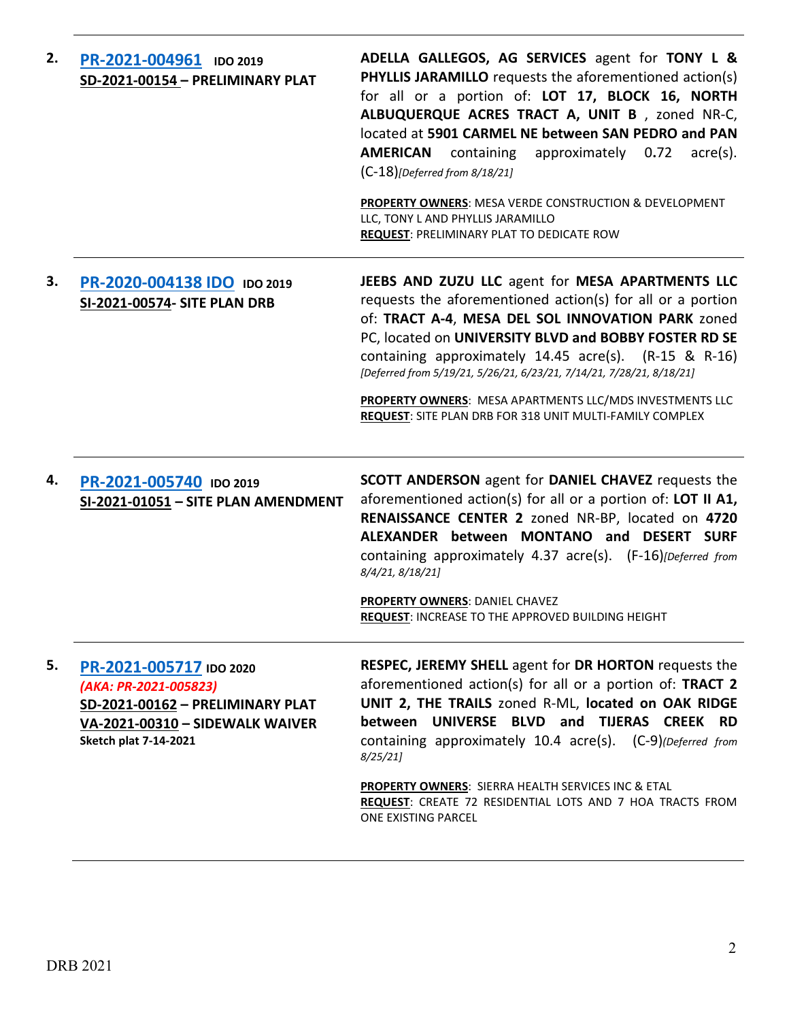| 2. | PR-2021-004961 IDO 2019<br>SD-2021-00154 - PRELIMINARY PLAT                                                                                             | ADELLA GALLEGOS, AG SERVICES agent for TONY L &<br><b>PHYLLIS JARAMILLO</b> requests the aforementioned action(s)<br>for all or a portion of: LOT 17, BLOCK 16, NORTH<br>ALBUQUERQUE ACRES TRACT A, UNIT B, zoned NR-C,<br>located at 5901 CARMEL NE between SAN PEDRO and PAN<br><b>AMERICAN</b> containing approximately 0.72<br>$\arccos 0$ .<br>$(C-18)$ [Deferred from 8/18/21]<br>PROPERTY OWNERS: MESA VERDE CONSTRUCTION & DEVELOPMENT<br>LLC, TONY L AND PHYLLIS JARAMILLO<br>REQUEST: PRELIMINARY PLAT TO DEDICATE ROW |
|----|---------------------------------------------------------------------------------------------------------------------------------------------------------|----------------------------------------------------------------------------------------------------------------------------------------------------------------------------------------------------------------------------------------------------------------------------------------------------------------------------------------------------------------------------------------------------------------------------------------------------------------------------------------------------------------------------------|
| З. | PR-2020-004138 IDO IDO 2019<br>SI-2021-00574- SITE PLAN DRB                                                                                             | JEEBS AND ZUZU LLC agent for MESA APARTMENTS LLC<br>requests the aforementioned action(s) for all or a portion<br>of: TRACT A-4, MESA DEL SOL INNOVATION PARK zoned<br>PC, located on UNIVERSITY BLVD and BOBBY FOSTER RD SE<br>containing approximately $14.45$ acre(s). $(R-15 \& R-16)$<br>[Deferred from 5/19/21, 5/26/21, 6/23/21, 7/14/21, 7/28/21, 8/18/21]<br>PROPERTY OWNERS: MESA APARTMENTS LLC/MDS INVESTMENTS LLC<br><b>REQUEST:</b> SITE PLAN DRB FOR 318 UNIT MULTI-FAMILY COMPLEX                                |
| 4. | PR-2021-005740 IDO 2019<br>SI-2021-01051 - SITE PLAN AMENDMENT                                                                                          | <b>SCOTT ANDERSON</b> agent for <b>DANIEL CHAVEZ</b> requests the<br>aforementioned action(s) for all or a portion of: LOT II A1,<br>RENAISSANCE CENTER 2 zoned NR-BP, located on 4720<br>ALEXANDER between MONTANO and DESERT SURF<br>containing approximately 4.37 acre(s). (F-16)[Deferred from<br>8/4/21, 8/18/21]<br><b>PROPERTY OWNERS: DANIEL CHAVEZ</b><br><b>REQUEST: INCREASE TO THE APPROVED BUILDING HEIGHT</b>                                                                                                      |
| 5. | PR-2021-005717 IDO 2020<br>(AKA: PR-2021-005823)<br>SD-2021-00162 - PRELIMINARY PLAT<br>VA-2021-00310 - SIDEWALK WAIVER<br><b>Sketch plat 7-14-2021</b> | <b>RESPEC, JEREMY SHELL agent for DR HORTON requests the</b><br>aforementioned action(s) for all or a portion of: TRACT 2<br>UNIT 2, THE TRAILS zoned R-ML, located on OAK RIDGE<br>between UNIVERSE BLVD and TIJERAS CREEK RD<br>containing approximately 10.4 acre(s). (C-9)(Deferred from<br>8/25/21<br><b>PROPERTY OWNERS: SIERRA HEALTH SERVICES INC &amp; ETAL</b><br>REQUEST: CREATE 72 RESIDENTIAL LOTS AND 7 HOA TRACTS FROM<br><b>ONE EXISTING PARCEL</b>                                                              |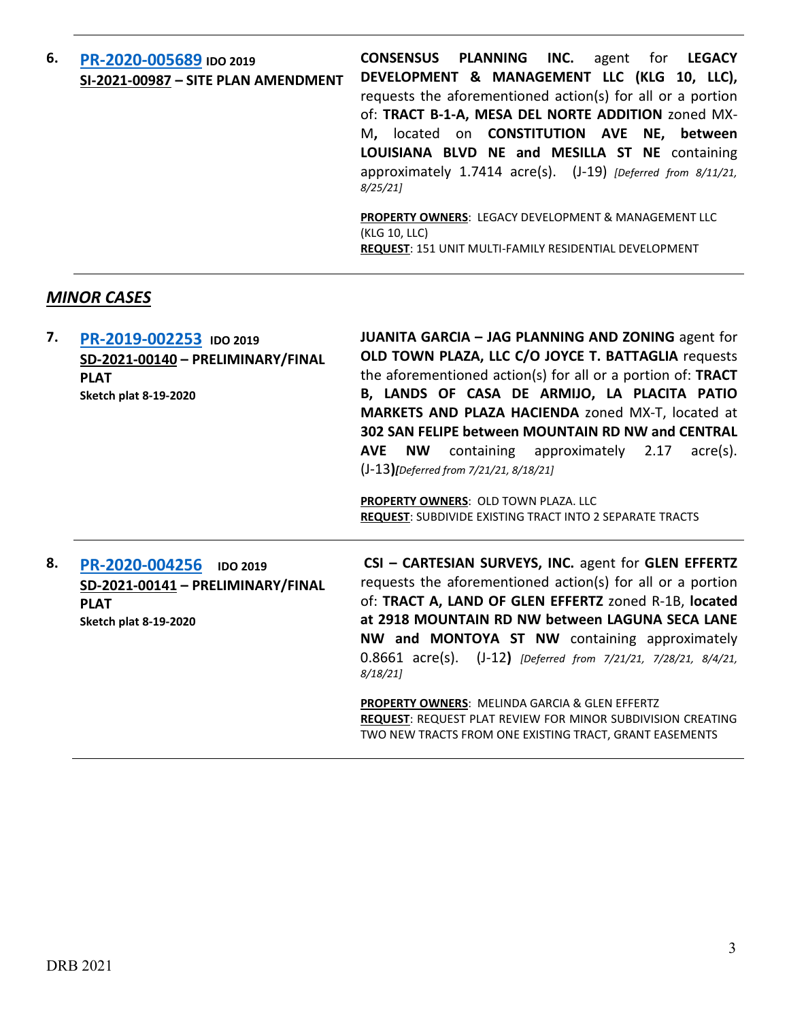| 6. | PR-2020-005689 IDO 2019<br>SI-2021-00987 - SITE PLAN AMENDMENT | CONSENSUS PLANNING INC.<br>agent for <b>LEGACY</b><br>DEVELOPMENT & MANAGEMENT LLC (KLG 10, LLC),<br>requests the aforementioned action(s) for all or a portion<br>of: TRACT B-1-A, MESA DEL NORTE ADDITION zoned MX-<br>M, located on <b>CONSTITUTION</b> AVE NE, between<br>LOUISIANA BLVD NE and MESILLA ST NE containing<br>approximately $1.7414$ acre(s). (J-19) [Deferred from $8/11/21$ ,<br>8/25/21<br><b>PROPERTY OWNERS: LEGACY DEVELOPMENT &amp; MANAGEMENT LLC</b><br>(KLG 10, LLC) |
|----|----------------------------------------------------------------|--------------------------------------------------------------------------------------------------------------------------------------------------------------------------------------------------------------------------------------------------------------------------------------------------------------------------------------------------------------------------------------------------------------------------------------------------------------------------------------------------|
|    |                                                                | <b>REQUEST: 151 UNIT MULTI-FAMILY RESIDENTIAL DEVELOPMENT</b>                                                                                                                                                                                                                                                                                                                                                                                                                                    |

## *MINOR CASES*

| 7. | PR-2019-002253 IDO 2019<br>SD-2021-00140 - PRELIMINARY/FINAL<br><b>PLAT</b><br><b>Sketch plat 8-19-2020</b>           | <b>JUANITA GARCIA - JAG PLANNING AND ZONING agent for</b><br>OLD TOWN PLAZA, LLC C/O JOYCE T. BATTAGLIA requests<br>the aforementioned action(s) for all or a portion of: TRACT<br>B, LANDS OF CASA DE ARMIJO, LA PLACITA PATIO<br>MARKETS AND PLAZA HACIENDA zoned MX-T, located at<br>302 SAN FELIPE between MOUNTAIN RD NW and CENTRAL<br>containing approximately 2.17<br>acre(s).<br>NW.<br><b>AVE</b><br>$(J-13)$ [Deferred from 7/21/21, 8/18/21] |
|----|-----------------------------------------------------------------------------------------------------------------------|----------------------------------------------------------------------------------------------------------------------------------------------------------------------------------------------------------------------------------------------------------------------------------------------------------------------------------------------------------------------------------------------------------------------------------------------------------|
|    |                                                                                                                       | <b>PROPERTY OWNERS: OLD TOWN PLAZA, LLC</b><br><b>REQUEST:</b> SUBDIVIDE EXISTING TRACT INTO 2 SEPARATE TRACTS                                                                                                                                                                                                                                                                                                                                           |
| 8. | PR-2020-004256<br><b>IDO 2019</b><br>SD-2021-00141 - PRELIMINARY/FINAL<br><b>PLAT</b><br><b>Sketch plat 8-19-2020</b> | CSI - CARTESIAN SURVEYS, INC. agent for GLEN EFFERTZ<br>requests the aforementioned action(s) for all or a portion<br>of: TRACT A, LAND OF GLEN EFFERTZ zoned R-1B, located<br>at 2918 MOUNTAIN RD NW between LAGUNA SECA LANE<br>NW and MONTOYA ST NW containing approximately<br>0.8661 acre(s). (J-12) [Deferred from 7/21/21, 7/28/21, 8/4/21,                                                                                                       |

*8/18/21]*

**PROPERTY OWNERS**: MELINDA GARCIA & GLEN EFFERTZ **REQUEST**: REQUEST PLAT REVIEW FOR MINOR SUBDIVISION CREATING TWO NEW TRACTS FROM ONE EXISTING TRACT, GRANT EASEMENTS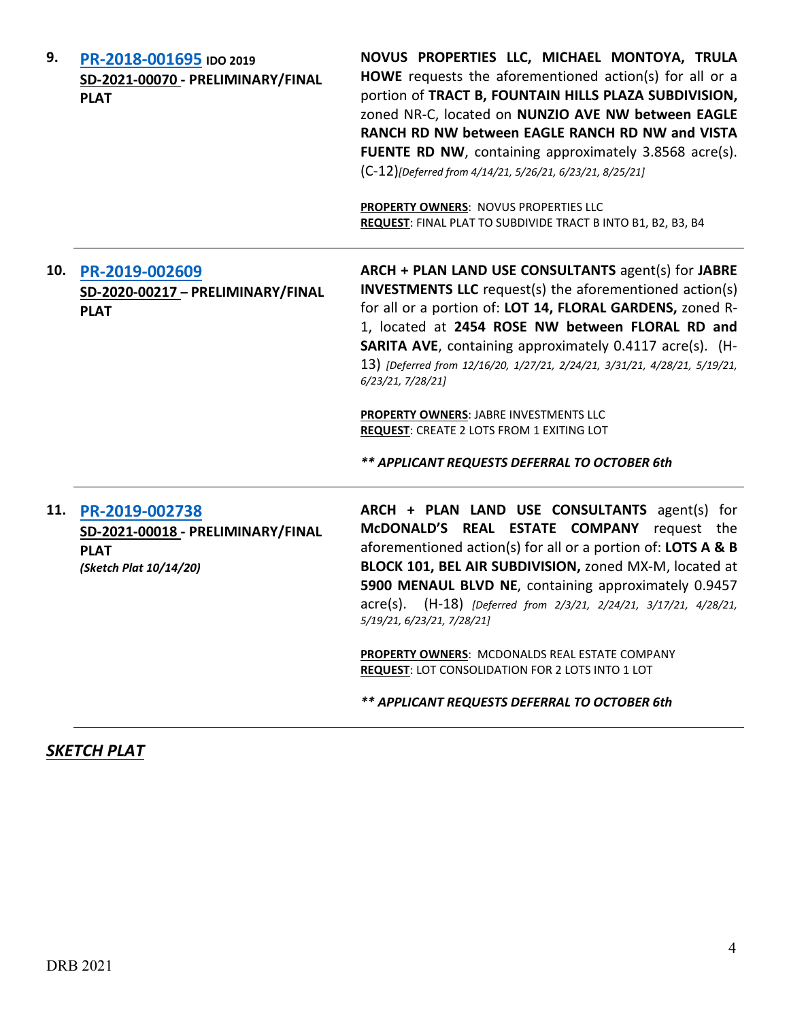| 9.  | PR-2018-001695 IDO 2019<br>SD-2021-00070 - PRELIMINARY/FINAL<br><b>PLAT</b>                  | NOVUS PROPERTIES LLC, MICHAEL MONTOYA, TRULA<br>HOWE requests the aforementioned action(s) for all or a<br>portion of TRACT B, FOUNTAIN HILLS PLAZA SUBDIVISION,<br>zoned NR-C, located on NUNZIO AVE NW between EAGLE<br>RANCH RD NW between EAGLE RANCH RD NW and VISTA<br>FUENTE RD NW, containing approximately 3.8568 acre(s).<br>(C-12)[Deferred from 4/14/21, 5/26/21, 6/23/21, 8/25/21]<br><b>PROPERTY OWNERS: NOVUS PROPERTIES LLC</b><br>REQUEST: FINAL PLAT TO SUBDIVIDE TRACT B INTO B1, B2, B3, B4                                            |
|-----|----------------------------------------------------------------------------------------------|------------------------------------------------------------------------------------------------------------------------------------------------------------------------------------------------------------------------------------------------------------------------------------------------------------------------------------------------------------------------------------------------------------------------------------------------------------------------------------------------------------------------------------------------------------|
| 10. | PR-2019-002609<br>SD-2020-00217 - PRELIMINARY/FINAL<br><b>PLAT</b>                           | ARCH + PLAN LAND USE CONSULTANTS agent(s) for JABRE<br><b>INVESTMENTS LLC</b> request(s) the aforementioned action(s)<br>for all or a portion of: LOT 14, FLORAL GARDENS, zoned R-<br>1, located at 2454 ROSE NW between FLORAL RD and<br><b>SARITA AVE, containing approximately 0.4117 acre(s). (H-</b><br>13) [Deferred from 12/16/20, 1/27/21, 2/24/21, 3/31/21, 4/28/21, 5/19/21,<br>6/23/21, 7/28/21]<br>PROPERTY OWNERS: JABRE INVESTMENTS LLC<br><b>REQUEST: CREATE 2 LOTS FROM 1 EXITING LOT</b><br>** APPLICANT REQUESTS DEFERRAL TO OCTOBER 6th |
| 11. | PR-2019-002738<br>SD-2021-00018 - PRELIMINARY/FINAL<br><b>PLAT</b><br>(Sketch Plat 10/14/20) | ARCH + PLAN LAND USE CONSULTANTS agent(s) for<br>McDONALD'S REAL ESTATE COMPANY<br>request the<br>aforementioned action(s) for all or a portion of: LOTS A & B<br>BLOCK 101, BEL AIR SUBDIVISION, zoned MX-M, located at<br>5900 MENAUL BLVD NE, containing approximately 0.9457<br>acre(s). (H-18) [Deferred from 2/3/21, 2/24/21, 3/17/21, 4/28/21,<br>5/19/21, 6/23/21, 7/28/21]<br>PROPERTY OWNERS: MCDONALDS REAL ESTATE COMPANY<br>REQUEST: LOT CONSOLIDATION FOR 2 LOTS INTO 1 LOT<br>** APPLICANT REQUESTS DEFERRAL TO OCTOBER 6th                 |

*SKETCH PLAT*